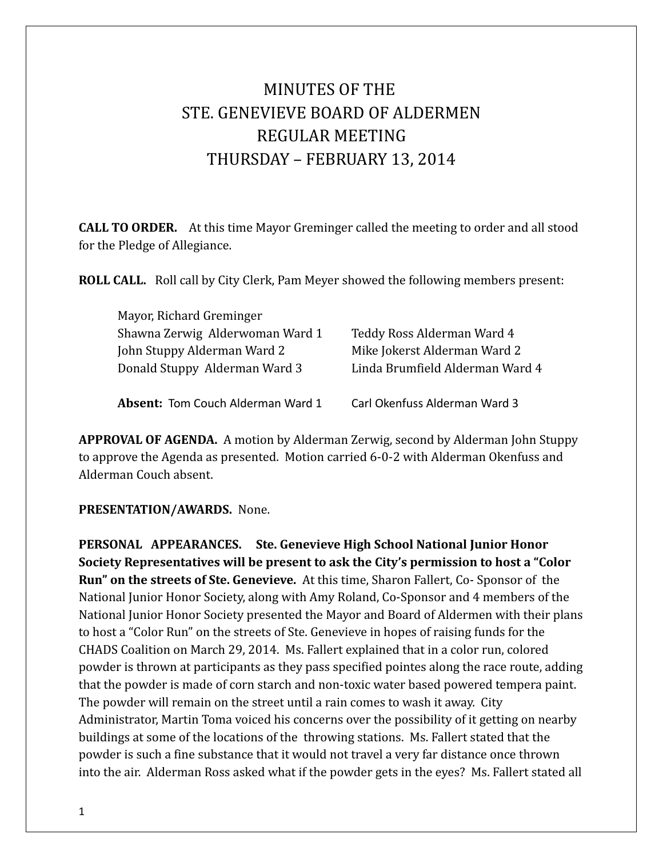# MINUTES OF THE STE. GENEVIEVE BOARD OF ALDERMEN REGULAR MEETING THURSDAY – FEBRUARY 13, 2014

**CALL TO ORDER.** At this time Mayor Greminger called the meeting to order and all stood for the Pledge of Allegiance.

**ROLL CALL.** Roll call by City Clerk, Pam Meyer showed the following members present:

| Mayor, Richard Greminger                 |                                 |
|------------------------------------------|---------------------------------|
| Shawna Zerwig Alderwoman Ward 1          | Teddy Ross Alderman Ward 4      |
| John Stuppy Alderman Ward 2              | Mike Jokerst Alderman Ward 2    |
| Donald Stuppy Alderman Ward 3            | Linda Brumfield Alderman Ward 4 |
| <b>Absent: Tom Couch Alderman Ward 1</b> | Carl Okenfuss Alderman Ward 3   |

**APPROVAL OF AGENDA.** A motion by Alderman Zerwig, second by Alderman John Stuppy to approve the Agenda as presented. Motion carried 6-0-2 with Alderman Okenfuss and Alderman Couch absent.

**PRESENTATION/AWARDS.** None.

**PERSONAL APPEARANCES. Ste. Genevieve High School National Junior Honor Society Representatives will be present to ask the City's permission to host a "Color Run" on the streets of Ste. Genevieve.** At this time, Sharon Fallert, Co- Sponsor of the National Junior Honor Society, along with Amy Roland, Co-Sponsor and 4 members of the National Junior Honor Society presented the Mayor and Board of Aldermen with their plans to host a "Color Run" on the streets of Ste. Genevieve in hopes of raising funds for the CHADS Coalition on March 29, 2014. Ms. Fallert explained that in a color run, colored powder is thrown at participants as they pass specified pointes along the race route, adding that the powder is made of corn starch and non-toxic water based powered tempera paint. The powder will remain on the street until a rain comes to wash it away. City Administrator, Martin Toma voiced his concerns over the possibility of it getting on nearby buildings at some of the locations of the throwing stations. Ms. Fallert stated that the powder is such a fine substance that it would not travel a very far distance once thrown into the air. Alderman Ross asked what if the powder gets in the eyes? Ms. Fallert stated all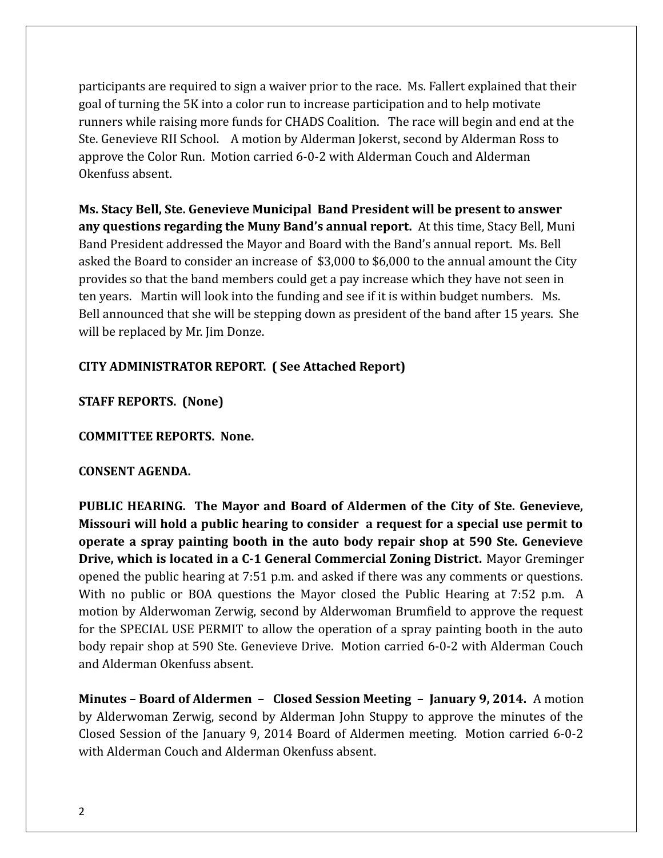participants are required to sign a waiver prior to the race. Ms. Fallert explained that their goal of turning the 5K into a color run to increase participation and to help motivate runners while raising more funds for CHADS Coalition. The race will begin and end at the Ste. Genevieve RII School. A motion by Alderman Jokerst, second by Alderman Ross to approve the Color Run. Motion carried 6-0-2 with Alderman Couch and Alderman Okenfuss absent.

**Ms. Stacy Bell, Ste. Genevieve Municipal Band President will be present to answer any questions regarding the Muny Band's annual report.** At this time, Stacy Bell, Muni Band President addressed the Mayor and Board with the Band's annual report. Ms. Bell asked the Board to consider an increase of \$3,000 to \$6,000 to the annual amount the City provides so that the band members could get a pay increase which they have not seen in ten years. Martin will look into the funding and see if it is within budget numbers. Ms. Bell announced that she will be stepping down as president of the band after 15 years. She will be replaced by Mr. Jim Donze.

#### **CITY ADMINISTRATOR REPORT. ( See Attached Report)**

**STAFF REPORTS. (None)**

**COMMITTEE REPORTS. None.** 

#### **CONSENT AGENDA.**

**PUBLIC HEARING. The Mayor and Board of Aldermen of the City of Ste. Genevieve, Missouri will hold a public hearing to consider a request for a special use permit to operate a spray painting booth in the auto body repair shop at 590 Ste. Genevieve Drive, which is located in a C-1 General Commercial Zoning District.** Mayor Greminger opened the public hearing at 7:51 p.m. and asked if there was any comments or questions. With no public or BOA questions the Mayor closed the Public Hearing at 7:52 p.m. A motion by Alderwoman Zerwig, second by Alderwoman Brumfield to approve the request for the SPECIAL USE PERMIT to allow the operation of a spray painting booth in the auto body repair shop at 590 Ste. Genevieve Drive. Motion carried 6-0-2 with Alderman Couch and Alderman Okenfuss absent.

**Minutes – Board of Aldermen – Closed Session Meeting – January 9, 2014.** A motion by Alderwoman Zerwig, second by Alderman John Stuppy to approve the minutes of the Closed Session of the January 9, 2014 Board of Aldermen meeting. Motion carried 6-0-2 with Alderman Couch and Alderman Okenfuss absent.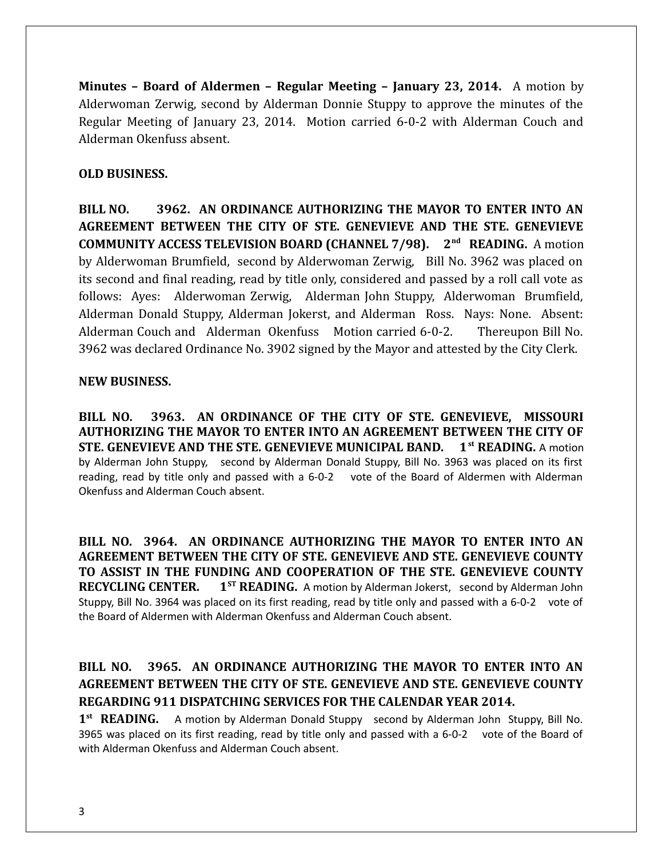**Minutes – Board of Aldermen – Regular Meeting – January 23, 2014.** A motion by Alderwoman Zerwig, second by Alderman Donnie Stuppy to approve the minutes of the Regular Meeting of January 23, 2014. Motion carried 6-0-2 with Alderman Couch and Alderman Okenfuss absent.

#### **OLD BUSINESS.**

**BILL NO. 3962. AN ORDINANCE AUTHORIZING THE MAYOR TO ENTER INTO AN AGREEMENT BETWEEN THE CITY OF STE. GENEVIEVE AND THE STE. GENEVIEVE COMMUNITY ACCESS TELEVISION BOARD (CHANNEL 7/98). 2nd READING.** A motion by Alderwoman Brumfield, second by Alderwoman Zerwig, Bill No. 3962 was placed on its second and final reading, read by title only, considered and passed by a roll call vote as follows: Ayes: Alderwoman Zerwig, Alderman John Stuppy, Alderwoman Brumfield, Alderman Donald Stuppy, Alderman Jokerst, and Alderman Ross. Nays: None. Absent: Alderman Couch and Alderman Okenfuss Motion carried 6-0-2. Thereupon Bill No. 3962 was declared Ordinance No. 3902 signed by the Mayor and attested by the City Clerk.

#### **NEW BUSINESS.**

**BILL NO. 3963. AN ORDINANCE OF THE CITY OF STE. GENEVIEVE, MISSOURI AUTHORIZING THE MAYOR TO ENTER INTO AN AGREEMENT BETWEEN THE CITY OF STE. GENEVIEVE AND THE STE. GENEVIEVE MUNICIPAL BAND. 1st READING.** A motion by Alderman John Stuppy, second by Alderman Donald Stuppy, Bill No. 3963 was placed on its first reading, read by title only and passed with a 6-0-2 vote of the Board of Aldermen with Alderman Okenfuss and Alderman Couch absent.

**BILL NO. 3964. AN ORDINANCE AUTHORIZING THE MAYOR TO ENTER INTO AN AGREEMENT BETWEEN THE CITY OF STE. GENEVIEVE AND STE. GENEVIEVE COUNTY TO ASSIST IN THE FUNDING AND COOPERATION OF THE STE. GENEVIEVE COUNTY RECYCLING CENTER. 1ST READING.** A motion by Alderman Jokerst, second by Alderman John Stuppy, Bill No. 3964 was placed on its first reading, read by title only and passed with a 6-0-2 vote of the Board of Aldermen with Alderman Okenfuss and Alderman Couch absent.

## **BILL NO. 3965. AN ORDINANCE AUTHORIZING THE MAYOR TO ENTER INTO AN AGREEMENT BETWEEN THE CITY OF STE. GENEVIEVE AND STE. GENEVIEVE COUNTY REGARDING 911 DISPATCHING SERVICES FOR THE CALENDAR YEAR 2014.**

1<sup>st</sup> READING. A motion by Alderman Donald Stuppy second by Alderman John Stuppy, Bill No. 3965 was placed on its first reading, read by title only and passed with a 6-0-2 vote of the Board of with Alderman Okenfuss and Alderman Couch absent.